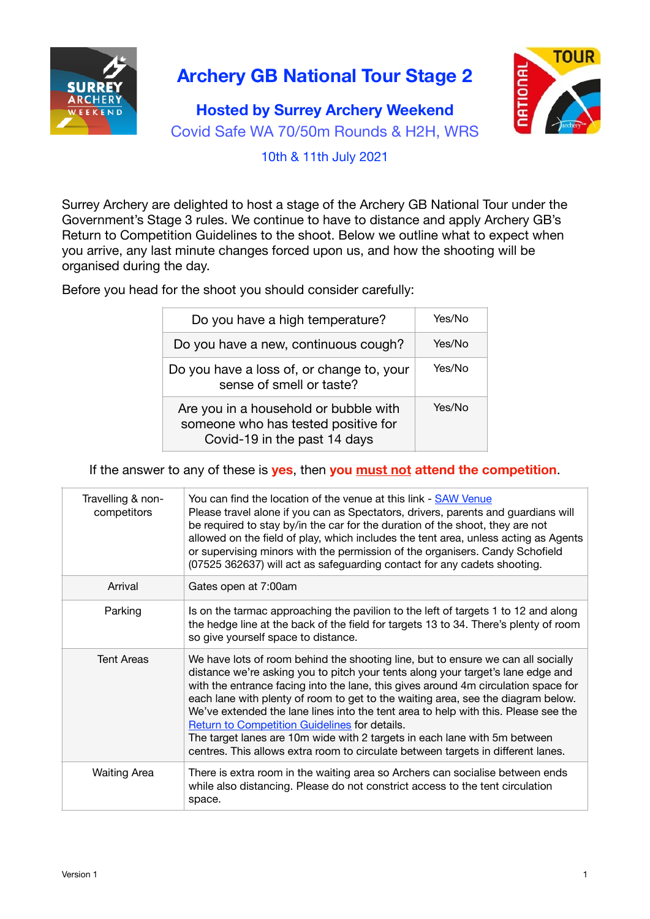

## **Archery GB National Tour Stage 2**

## **Hosted by Surrey Archery Weekend** Covid Safe WA 70/50m Rounds & H2H, WRS



10th & 11th July 2021

Surrey Archery are delighted to host a stage of the Archery GB National Tour under the Government's Stage 3 rules. We continue to have to distance and apply Archery GB's Return to Competition Guidelines to the shoot. Below we outline what to expect when you arrive, any last minute changes forced upon us, and how the shooting will be organised during the day.

Before you head for the shoot you should consider carefully:

| Do you have a high temperature?                                                                              | Yes/No |
|--------------------------------------------------------------------------------------------------------------|--------|
| Do you have a new, continuous cough?                                                                         | Yes/No |
| Do you have a loss of, or change to, your<br>sense of smell or taste?                                        | Yes/No |
| Are you in a household or bubble with<br>someone who has tested positive for<br>Covid-19 in the past 14 days | Yes/No |

If the answer to any of these is **yes**, then **you must not attend the competition**.

| Travelling & non-<br>competitors | You can find the location of the venue at this link - SAW Venue<br>Please travel alone if you can as Spectators, drivers, parents and guardians will<br>be required to stay by/in the car for the duration of the shoot, they are not<br>allowed on the field of play, which includes the tent area, unless acting as Agents<br>or supervising minors with the permission of the organisers. Candy Schofield<br>(07525 362637) will act as safeguarding contact for any cadets shooting.                                                                                                                                                                     |
|----------------------------------|--------------------------------------------------------------------------------------------------------------------------------------------------------------------------------------------------------------------------------------------------------------------------------------------------------------------------------------------------------------------------------------------------------------------------------------------------------------------------------------------------------------------------------------------------------------------------------------------------------------------------------------------------------------|
| Arrival                          | Gates open at 7:00am                                                                                                                                                                                                                                                                                                                                                                                                                                                                                                                                                                                                                                         |
| Parking                          | Is on the tarmac approaching the pavilion to the left of targets 1 to 12 and along<br>the hedge line at the back of the field for targets 13 to 34. There's plenty of room<br>so give yourself space to distance.                                                                                                                                                                                                                                                                                                                                                                                                                                            |
| <b>Tent Areas</b>                | We have lots of room behind the shooting line, but to ensure we can all socially<br>distance we're asking you to pitch your tents along your target's lane edge and<br>with the entrance facing into the lane, this gives around 4m circulation space for<br>each lane with plenty of room to get to the waiting area, see the diagram below.<br>We've extended the lane lines into the tent area to help with this. Please see the<br><b>Return to Competition Guidelines for details.</b><br>The target lanes are 10m wide with 2 targets in each lane with 5m between<br>centres. This allows extra room to circulate between targets in different lanes. |
| <b>Waiting Area</b>              | There is extra room in the waiting area so Archers can socialise between ends<br>while also distancing. Please do not constrict access to the tent circulation<br>space.                                                                                                                                                                                                                                                                                                                                                                                                                                                                                     |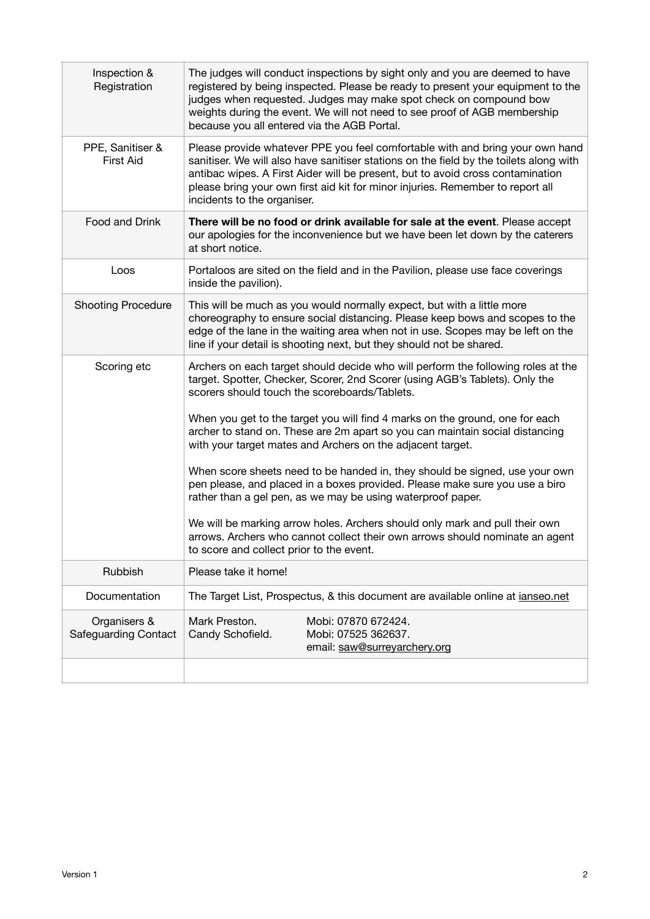| Inspection &<br>Registration                | The judges will conduct inspections by sight only and you are deemed to have<br>registered by being inspected. Please be ready to present your equipment to the<br>judges when requested. Judges may make spot check on compound bow<br>weights during the event. We will not need to see proof of AGB membership<br>because you all entered via the AGB Portal.                                                                                                                                                                                                                                                                                                                                                                                                                                                                                                                        |  |
|---------------------------------------------|-----------------------------------------------------------------------------------------------------------------------------------------------------------------------------------------------------------------------------------------------------------------------------------------------------------------------------------------------------------------------------------------------------------------------------------------------------------------------------------------------------------------------------------------------------------------------------------------------------------------------------------------------------------------------------------------------------------------------------------------------------------------------------------------------------------------------------------------------------------------------------------------|--|
| PPE, Sanitiser &<br><b>First Aid</b>        | Please provide whatever PPE you feel comfortable with and bring your own hand<br>sanitiser. We will also have sanitiser stations on the field by the toilets along with<br>antibac wipes. A First Aider will be present, but to avoid cross contamination<br>please bring your own first aid kit for minor injuries. Remember to report all<br>incidents to the organiser.                                                                                                                                                                                                                                                                                                                                                                                                                                                                                                              |  |
| Food and Drink                              | There will be no food or drink available for sale at the event. Please accept<br>our apologies for the inconvenience but we have been let down by the caterers<br>at short notice.                                                                                                                                                                                                                                                                                                                                                                                                                                                                                                                                                                                                                                                                                                      |  |
| Loos                                        | Portaloos are sited on the field and in the Pavilion, please use face coverings<br>inside the pavilion).                                                                                                                                                                                                                                                                                                                                                                                                                                                                                                                                                                                                                                                                                                                                                                                |  |
| <b>Shooting Procedure</b>                   | This will be much as you would normally expect, but with a little more<br>choreography to ensure social distancing. Please keep bows and scopes to the<br>edge of the lane in the waiting area when not in use. Scopes may be left on the<br>line if your detail is shooting next, but they should not be shared.                                                                                                                                                                                                                                                                                                                                                                                                                                                                                                                                                                       |  |
| Scoring etc                                 | Archers on each target should decide who will perform the following roles at the<br>target. Spotter, Checker, Scorer, 2nd Scorer (using AGB's Tablets). Only the<br>scorers should touch the scoreboards/Tablets.<br>When you get to the target you will find 4 marks on the ground, one for each<br>archer to stand on. These are 2m apart so you can maintain social distancing<br>with your target mates and Archers on the adjacent target.<br>When score sheets need to be handed in, they should be signed, use your own<br>pen please, and placed in a boxes provided. Please make sure you use a biro<br>rather than a gel pen, as we may be using waterproof paper.<br>We will be marking arrow holes. Archers should only mark and pull their own<br>arrows. Archers who cannot collect their own arrows should nominate an agent<br>to score and collect prior to the event. |  |
| Rubbish                                     | Please take it home!                                                                                                                                                                                                                                                                                                                                                                                                                                                                                                                                                                                                                                                                                                                                                                                                                                                                    |  |
| Documentation                               | The Target List, Prospectus, & this document are available online at <i>ianseo.net</i>                                                                                                                                                                                                                                                                                                                                                                                                                                                                                                                                                                                                                                                                                                                                                                                                  |  |
| Organisers &<br><b>Safeguarding Contact</b> | Mark Preston.<br>Mobi: 07870 672424.<br>Mobi: 07525 362637.<br>Candy Schofield.<br>email: saw@surreyarchery.org                                                                                                                                                                                                                                                                                                                                                                                                                                                                                                                                                                                                                                                                                                                                                                         |  |
|                                             |                                                                                                                                                                                                                                                                                                                                                                                                                                                                                                                                                                                                                                                                                                                                                                                                                                                                                         |  |